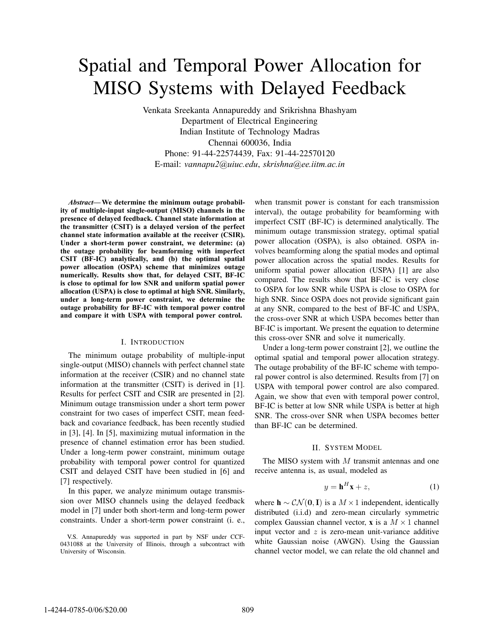# Spatial and Temporal Power Allocation for MISO Systems with Delayed Feedback

Venkata Sreekanta Annapureddy and Srikrishna Bhashyam Department of Electrical Engineering Indian Institute of Technology Madras Chennai 600036, India Phone: 91-44-22574439, Fax: 91-44-22570120 E-mail: *vannapu2@uiuc.edu*, *skrishna@ee.iitm.ac.in*

*Abstract***—We determine the minimum outage probability of multiple-input single-output (MISO) channels in the presence of delayed feedback. Channel state information at the transmitter (CSIT) is a delayed version of the perfect channel state information available at the receiver (CSIR). Under a short-term power constraint, we determine: (a) the outage probability for beamforming with imperfect CSIT (BF-IC) analytically, and (b) the optimal spatial power allocation (OSPA) scheme that minimizes outage numerically. Results show that, for delayed CSIT, BF-IC is close to optimal for low SNR and uniform spatial power allocation (USPA) is close to optimal at high SNR. Similarly, under a long-term power constraint, we determine the outage probability for BF-IC with temporal power control and compare it with USPA with temporal power control.**

## I. INTRODUCTION

The minimum outage probability of multiple-input single-output (MISO) channels with perfect channel state information at the receiver (CSIR) and no channel state information at the transmitter (CSIT) is derived in [1]. Results for perfect CSIT and CSIR are presented in [2]. Minimum outage transmission under a short term power constraint for two cases of imperfect CSIT, mean feedback and covariance feedback, has been recently studied in [3], [4]. In [5], maximizing mutual information in the presence of channel estimation error has been studied. Under a long-term power constraint, minimum outage probability with temporal power control for quantized CSIT and delayed CSIT have been studied in [6] and [7] respectively.

In this paper, we analyze minimum outage transmission over MISO channels using the delayed feedback model in [7] under both short-term and long-term power constraints. Under a short-term power constraint (i. e., when transmit power is constant for each transmission interval), the outage probability for beamforming with imperfect CSIT (BF-IC) is determined analytically. The minimum outage transmission strategy, optimal spatial power allocation (OSPA), is also obtained. OSPA involves beamforming along the spatial modes and optimal power allocation across the spatial modes. Results for uniform spatial power allocation (USPA) [1] are also compared. The results show that BF-IC is very close to OSPA for low SNR while USPA is close to OSPA for high SNR. Since OSPA does not provide significant gain at any SNR, compared to the best of BF-IC and USPA, the cross-over SNR at which USPA becomes better than BF-IC is important. We present the equation to determine this cross-over SNR and solve it numerically.

Under a long-term power constraint [2], we outline the optimal spatial and temporal power allocation strategy. The outage probability of the BF-IC scheme with temporal power control is also determined. Results from [7] on USPA with temporal power control are also compared. Again, we show that even with temporal power control, BF-IC is better at low SNR while USPA is better at high SNR. The cross-over SNR when USPA becomes better than BF-IC can be determined.

#### II. SYSTEM MODEL

The MISO system with  $M$  transmit antennas and one receive antenna is, as usual, modeled as

$$
y = \mathbf{h}^H \mathbf{x} + z,\tag{1}
$$

where  **is a**  $M \times 1$  **independent, identically** distributed (i.i.d) and zero-mean circularly symmetric complex Gaussian channel vector, **x** is a  $M \times 1$  channel input vector and  $z$  is zero-mean unit-variance additive white Gaussian noise (AWGN). Using the Gaussian channel vector model, we can relate the old channel and

V.S. Annapureddy was supported in part by NSF under CCF-0431088 at the University of Illinois, through a subcontract with University of Wisconsin.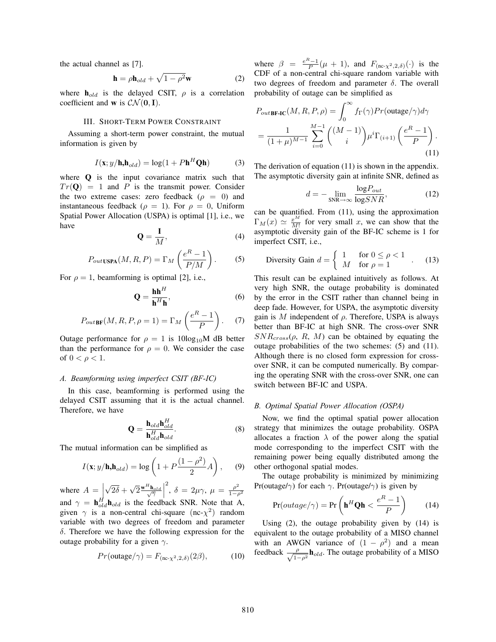the actual channel as [7].

$$
\mathbf{h} = \rho \mathbf{h}_{old} + \sqrt{1 - \rho^2} \mathbf{w}
$$
 (2)

where  $h_{old}$  is the delayed CSIT,  $\rho$  is a correlation coefficient and **w** is  $CN(0, I)$ .

#### III. SHORT-TERM POWER CONSTRAINT

Assuming a short-term power constraint, the mutual information is given by

$$
I(\mathbf{x}; y/\mathbf{h}, \mathbf{h}_{old}) = \log(1 + P\mathbf{h}^H \mathbf{Q}\mathbf{h})
$$
 (3)

where **Q** is the input covariance matrix such that  $Tr(\mathbf{Q}) = 1$  and P is the transmit power. Consider the two extreme cases: zero feedback ( $\rho = 0$ ) and instantaneous feedback ( $\rho = 1$ ). For  $\rho = 0$ , Uniform Spatial Power Allocation (USPA) is optimal [1], i.e., we have

$$
\mathbf{Q} = \frac{1}{M},\tag{4}
$$

$$
P_{outUSPA}(M, R, P) = \Gamma_M \left(\frac{e^R - 1}{P/M}\right). \tag{5}
$$

For  $\rho = 1$ , beamforming is optimal [2], i.e.,

$$
\mathbf{Q} = \frac{\mathbf{h}\mathbf{h}^H}{\mathbf{h}^H \mathbf{h}},\tag{6}
$$

$$
P_{out\text{BF}}(M, R, P, \rho = 1) = \Gamma_M \left(\frac{e^R - 1}{P}\right). \tag{7}
$$

Outage performance for  $\rho = 1$  is 10log<sub>10</sub>M dB better than the performance for  $\rho = 0$ . We consider the case of  $0 < \rho < 1$ .

## *A. Beamforming using imperfect CSIT (BF-IC)*

In this case, beamforming is performed using the delayed CSIT assuming that it is the actual channel. Therefore, we have

$$
\mathbf{Q} = \frac{\mathbf{h}_{old}\mathbf{h}_{old}^H}{\mathbf{h}_{old}^H \mathbf{h}_{old}}.\tag{8}
$$

The mutual information can be simplified as

$$
I(\mathbf{x}; y/\mathbf{h}, \mathbf{h}_{old}) = \log\left(1 + P\frac{(1 - \rho^2)}{2}A\right),\qquad(9)
$$

where  $A = \n\begin{bmatrix} 1 \\ 1 \end{bmatrix}$  $\sqrt{2\delta} + \sqrt{2} \frac{\mathbf{w}^H \mathbf{h}_{old}}{\sqrt{\gamma}}$ <sup>2</sup>, δ = 2μ $\gamma$ , μ =  $\frac{\rho^2}{1-\rho^2}$ and  $\gamma = \mathbf{h}_{old}^H \mathbf{h}_{old}$  is the feedback SNR. Note that A, given  $\gamma$  is a non-central chi-square (nc- $\chi^2$ ) random variable with two degrees of freedom and parameter δ. Therefore we have the following expression for the outage probability for a given  $\gamma$ .

$$
Pr(\text{outage}/\gamma) = F_{(\text{nc-}\chi^2,2,\delta)}(2\beta),\tag{10}
$$

where  $\beta = \frac{e^{R}-1}{P}(\mu + 1)$ , and  $F_{(\text{nc-}\chi^2,2,\delta)}(\cdot)$  is the CDF of a non-central chi-square random variable with two degrees of freedom and parameter  $\delta$ . The overall probability of outage can be simplified as

$$
P_{out\text{BF-IC}}(M, R, P, \rho) = \int_0^\infty f_\Gamma(\gamma) Pr(\text{outage}/\gamma) d\gamma
$$

$$
= \frac{1}{(1+\mu)^{M-1}} \sum_{i=0}^{M-1} \binom{(M-1)}{i} \mu^i \Gamma_{(i+1)} \left(\frac{e^R - 1}{P}\right).
$$
(11)

The derivation of equation (11) is shown in the appendix. The asymptotic diversity gain at infinite SNR, defined as

$$
d = -\lim_{\text{SNR}\to\infty} \frac{\log P_{out}}{\log SNR},\tag{12}
$$

can be quantified. From (11), using the approximation  $\Gamma_M(x) \simeq \frac{x^M}{M!}$  for very small x, we can show that the asymptotic diversity gain of the BF-IC scheme is 1 for imperfect CSIT, i.e.,

Diversity Gain 
$$
d = \begin{cases} 1 & \text{for } 0 \le \rho < 1 \\ M & \text{for } \rho = 1 \end{cases}
$$
. (13)

This result can be explained intuitively as follows. At very high SNR, the outage probability is dominated by the error in the CSIT rather than channel being in deep fade. However, for USPA, the asymptotic diversity gain is M independent of  $\rho$ . Therefore, USPA is always better than BF-IC at high SNR. The cross-over SNR  $SNR_{cross}(\rho, R, M)$  can be obtained by equating the outage probabilities of the two schemes: (5) and (11). Although there is no closed form expression for crossover SNR, it can be computed numerically. By comparing the operating SNR with the cross-over SNR, one can switch between BF-IC and USPA.

## *B. Optimal Spatial Power Allocation (OSPA)*

Now, we find the optimal spatial power allocation strategy that minimizes the outage probability. OSPA allocates a fraction  $\lambda$  of the power along the spatial mode corresponding to the imperfect CSIT with the remaining power being equally distributed among the other orthogonal spatial modes.

The outage probability is minimized by minimizing Pr(outage/ $\gamma$ ) for each  $\gamma$ . Pr(outage/ $\gamma$ ) is given by

$$
Pr(outage/\gamma) = Pr\left(\mathbf{h}^H \mathbf{Q} \mathbf{h} < \frac{e^R - 1}{P}\right) \tag{14}
$$

Using (2), the outage probability given by (14) is equivalent to the outage probability of a MISO channel with an AWGN variance of  $(1 - \rho^2)$  and a mean feedback  $\frac{\rho}{\sqrt{1-\rho^2}} \mathbf{h}_{old}$ . The outage probability of a MISO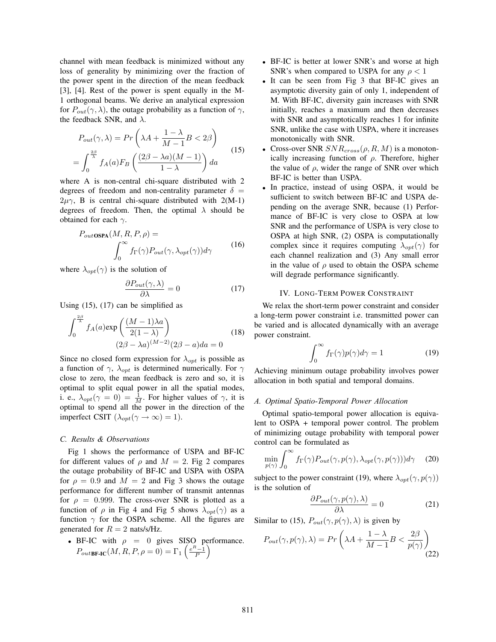channel with mean feedback is minimized without any loss of generality by minimizing over the fraction of the power spent in the direction of the mean feedback [3], [4]. Rest of the power is spent equally in the M-1 orthogonal beams. We derive an analytical expression for  $P_{out}(\gamma, \lambda)$ , the outage probability as a function of  $\gamma$ , the feedback SNR, and  $\lambda$ .

$$
P_{out}(\gamma, \lambda) = Pr\left(\lambda A + \frac{1 - \lambda}{M - 1}B < 2\beta\right)
$$
\n
$$
= \int_0^{\frac{2\beta}{\lambda}} f_A(a) F_B\left(\frac{(2\beta - \lambda a)(M - 1)}{1 - \lambda}\right) da \tag{15}
$$

where A is non-central chi-square distributed with 2 degrees of freedom and non-centrality parameter  $\delta$  =  $2\mu\gamma$ , B is central chi-square distributed with 2(M-1) degrees of freedom. Then, the optimal  $\lambda$  should be obtained for each  $\gamma$ .

$$
P_{outOSPA}(M, R, P, \rho) = \int_0^\infty f_\Gamma(\gamma) P_{out}(\gamma, \lambda_{opt}(\gamma)) d\gamma
$$
 (16)

where  $\lambda_{opt}(\gamma)$  is the solution of

$$
\frac{\partial P_{out}(\gamma,\lambda)}{\partial \lambda} = 0 \tag{17}
$$

Using  $(15)$ ,  $(17)$  can be simplified as

$$
\int_0^{\frac{2\beta}{\lambda}} f_A(a) \exp\left(\frac{(M-1)\lambda a}{2(1-\lambda)}\right)
$$
  

$$
(2\beta - \lambda a)^{(M-2)}(2\beta - a)da = 0
$$
 (18)

Since no closed form expression for  $\lambda_{opt}$  is possible as a function of  $\gamma$ ,  $\lambda_{opt}$  is determined numerically. For  $\gamma$ close to zero, the mean feedback is zero and so, it is optimal to split equal power in all the spatial modes, i. e.,  $\lambda_{opt}(\gamma = 0) = \frac{1}{M}$ . For higher values of  $\gamma$ , it is optimal to spend all the power in the direction of the imperfect CSIT  $(\lambda_{opt}(\gamma \to \infty) = 1)$ .

## *C. Results & Observations*

Fig 1 shows the performance of USPA and BF-IC for different values of  $\rho$  and  $M = 2$ . Fig 2 compares the outage probability of BF-IC and USPA with OSPA for  $\rho = 0.9$  and  $M = 2$  and Fig 3 shows the outage performance for different number of transmit antennas for  $\rho = 0.999$ . The cross-over SNR is plotted as a function of  $\rho$  in Fig 4 and Fig 5 shows  $\lambda_{opt}(\gamma)$  as a function  $\gamma$  for the OSPA scheme. All the figures are generated for  $R = 2$  nats/s/Hz.

• BF-IC with  $\rho = 0$  gives SISO performance.  $P_{out \text{BF-IC}}(M, R, P, \rho = 0) = \Gamma_1 \left(\frac{e^R - 1}{P}\right)$ 

- BF-IC is better at lower SNR's and worse at high SNR's when compared to USPA for any  $\rho < 1$
- It can be seen from Fig 3 that BF-IC gives an asymptotic diversity gain of only 1, independent of M. With BF-IC, diversity gain increases with SNR initially, reaches a maximum and then decreases with SNR and asymptotically reaches 1 for infinite SNR, unlike the case with USPA, where it increases monotonically with SNR.
- Cross-over SNR  $SNR_{cross}(\rho, R, M)$  is a monotonically increasing function of  $\rho$ . Therefore, higher the value of  $\rho$ , wider the range of SNR over which BF-IC is better than USPA.
- In practice, instead of using OSPA, it would be sufficient to switch between BF-IC and USPA depending on the average SNR, because (1) Performance of BF-IC is very close to OSPA at low SNR and the performance of USPA is very close to OSPA at high SNR, (2) OSPA is computationally complex since it requires computing  $\lambda_{opt}(\gamma)$  for each channel realization and (3) Any small error in the value of  $\rho$  used to obtain the OSPA scheme will degrade performance significantly.

## IV. LONG-TERM POWER CONSTRAINT

We relax the short-term power constraint and consider a long-term power constraint i.e. transmitted power can be varied and is allocated dynamically with an average power constraint.

$$
\int_0^\infty f_\Gamma(\gamma) p(\gamma) d\gamma = 1 \tag{19}
$$

Achieving minimum outage probability involves power allocation in both spatial and temporal domains.

## *A. Optimal Spatio-Temporal Power Allocation*

Optimal spatio-temporal power allocation is equivalent to OSPA + temporal power control. The problem of minimizing outage probability with temporal power control can be formulated as

$$
\min_{p(\gamma)} \int_0^\infty f_\Gamma(\gamma) P_{out}(\gamma, p(\gamma), \lambda_{opt}(\gamma, p(\gamma))) d\gamma \tag{20}
$$

subject to the power constraint (19), where  $\lambda_{opt}(\gamma, p(\gamma))$ is the solution of

$$
\frac{\partial P_{out}(\gamma, p(\gamma), \lambda)}{\partial \lambda} = 0 \tag{21}
$$

Similar to (15),  $P_{out}(\gamma, p(\gamma), \lambda)$  is given by

$$
P_{out}(\gamma, p(\gamma), \lambda) = Pr\left(\lambda A + \frac{1-\lambda}{M-1}B < \frac{2\beta}{p(\gamma)}\right) \tag{22}
$$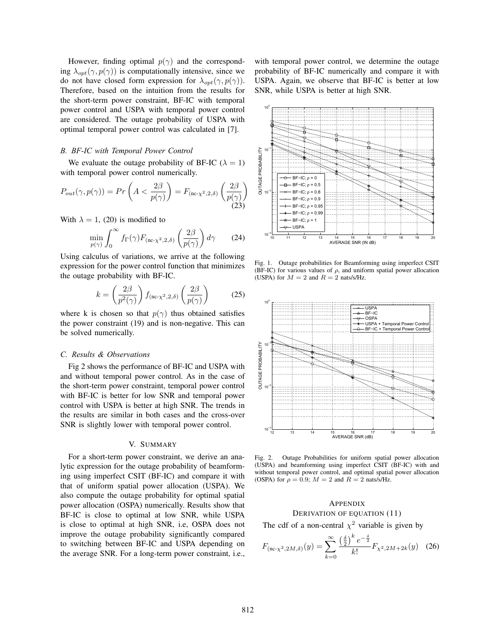However, finding optimal  $p(\gamma)$  and the corresponding  $\lambda_{opt}(\gamma, p(\gamma))$  is computationally intensive, since we do not have closed form expression for  $\lambda_{opt}(\gamma, p(\gamma))$ . Therefore, based on the intuition from the results for the short-term power constraint, BF-IC with temporal power control and USPA with temporal power control are considered. The outage probability of USPA with optimal temporal power control was calculated in [7].

# *B. BF-IC with Temporal Power Control*

We evaluate the outage probability of BF-IC ( $\lambda = 1$ ) with temporal power control numerically.

$$
P_{out}(\gamma, p(\gamma)) = Pr\left(A < \frac{2\beta}{p(\gamma)}\right) = F_{\text{(nc-}\chi^2, 2, \delta)}\left(\frac{2\beta}{p(\gamma)}\right)
$$
\n(23)

With  $\lambda = 1$ , (20) is modified to

$$
\min_{p(\gamma)} \int_0^\infty f_\Gamma(\gamma) F_{(\text{nc-}\chi^2,2,\delta)}\left(\frac{2\beta}{p(\gamma)}\right) d\gamma \tag{24}
$$

Using calculus of variations, we arrive at the following expression for the power control function that minimizes the outage probability with BF-IC.

$$
k = \left(\frac{2\beta}{p^2(\gamma)}\right) f_{\text{(nc-}\chi^2,2,\delta)}\left(\frac{2\beta}{p(\gamma)}\right) \tag{25}
$$

where k is chosen so that  $p(\gamma)$  thus obtained satisfies the power constraint (19) and is non-negative. This can be solved numerically.

#### *C. Results & Observations*

Fig 2 shows the performance of BF-IC and USPA with and without temporal power control. As in the case of the short-term power constraint, temporal power control with BF-IC is better for low SNR and temporal power control with USPA is better at high SNR. The trends in the results are similar in both cases and the cross-over SNR is slightly lower with temporal power control.

#### V. SUMMARY

For a short-term power constraint, we derive an analytic expression for the outage probability of beamforming using imperfect CSIT (BF-IC) and compare it with that of uniform spatial power allocation (USPA). We also compute the outage probability for optimal spatial power allocation (OSPA) numerically. Results show that BF-IC is close to optimal at low SNR, while USPA is close to optimal at high SNR, i.e, OSPA does not improve the outage probability significantly compared to switching between BF-IC and USPA depending on the average SNR. For a long-term power constraint, i.e., with temporal power control, we determine the outage probability of BF-IC numerically and compare it with USPA. Again, we observe that BF-IC is better at low SNR, while USPA is better at high SNR.



Fig. 1. Outage probabilities for Beamforming using imperfect CSIT (BF-IC) for various values of  $\rho$ , and uniform spatial power allocation (USPA) for  $M = 2$  and  $R = 2$  nats/s/Hz.



Fig. 2. Outage Probabilities for uniform spatial power allocation (USPA) and beamforming using imperfect CSIT (BF-IC) with and without temporal power control, and optimal spatial power allocation (OSPA) for  $\rho = 0.9$ ;  $M = 2$  and  $R = 2$  nats/s/Hz.

# **APPENDIX**

DERIVATION OF EQUATION (11) The cdf of a non-central  $\chi^2$  variable is given by

$$
F_{(\text{nc-}\chi^2, 2M, \delta)}(y) = \sum_{k=0}^{\infty} \frac{\left(\frac{\delta}{2}\right)^k e^{-\frac{\delta}{2}}}{k!} F_{\chi^2, 2M + 2k}(y) \quad (26)
$$